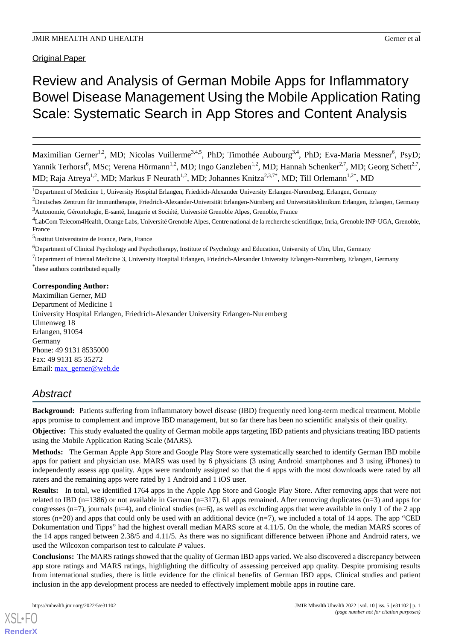**Original Paper** 

# Review and Analysis of German Mobile Apps for Inflammatory Bowel Disease Management Using the Mobile Application Rating Scale: Systematic Search in App Stores and Content Analysis

Maximilian Gerner<sup>1,2</sup>, MD; Nicolas Vuillerme<sup>3,4,5</sup>, PhD; Timothée Aubourg<sup>3,4</sup>, PhD; Eva-Maria Messner<sup>6</sup>, PsyD; Yannik Terhorst<sup>6</sup>, MSc; Verena Hörmann<sup>1,2</sup>, MD; Ingo Ganzleben<sup>1,2</sup>, MD; Hannah Schenker<sup>2,7</sup>, MD; Georg Schett<sup>2,7</sup>, MD; Raja Atreya<sup>1,2</sup>, MD; Markus F Neurath<sup>1,2</sup>, MD; Johannes Knitza<sup>2,3,7\*</sup>, MD; Till Orlemann<sup>1,2\*</sup>, MD

<sup>1</sup>Department of Medicine 1, University Hospital Erlangen, Friedrich-Alexander University Erlangen-Nuremberg, Erlangen, Germany

<sup>2</sup>Deutsches Zentrum für Immuntherapie, Friedrich-Alexander-Universität Erlangen-Nürnberg and Universitätsklinikum Erlangen, Erlangen, Germany <sup>3</sup>Autonomie, Gérontologie, E-santé, Imagerie et Société, Université Grenoble Alpes, Grenoble, France

<sup>4</sup>LabCom Telecom4Health, Orange Labs, Université Grenoble Alpes, Centre national de la recherche scientifique, Inria, Grenoble INP-UGA, Grenoble, France

5 Institut Universitaire de France, Paris, France

<sup>6</sup>Department of Clinical Psychology and Psychotherapy, Institute of Psychology and Education, University of Ulm, Ulm, Germany

 $<sup>7</sup>$ Department of Internal Medicine 3, University Hospital Erlangen, Friedrich-Alexander University Erlangen-Nuremberg, Erlangen, Germany</sup> \* these authors contributed equally

## **Corresponding Author:**

Maximilian Gerner, MD Department of Medicine 1 University Hospital Erlangen, Friedrich-Alexander University Erlangen-Nuremberg Ulmenweg 18 Erlangen, 91054 Germany Phone: 49 9131 8535000 Fax: 49 9131 85 35272 Email: [max\\_gerner@web.de](mailto:max_gerner@web.de)

## *Abstract*

**Background:** Patients suffering from inflammatory bowel disease (IBD) frequently need long-term medical treatment. Mobile apps promise to complement and improve IBD management, but so far there has been no scientific analysis of their quality.

**Objective:** This study evaluated the quality of German mobile apps targeting IBD patients and physicians treating IBD patients using the Mobile Application Rating Scale (MARS).

**Methods:** The German Apple App Store and Google Play Store were systematically searched to identify German IBD mobile apps for patient and physician use. MARS was used by 6 physicians (3 using Android smartphones and 3 using iPhones) to independently assess app quality. Apps were randomly assigned so that the 4 apps with the most downloads were rated by all raters and the remaining apps were rated by 1 Android and 1 iOS user.

**Results:** In total, we identified 1764 apps in the Apple App Store and Google Play Store. After removing apps that were not related to IBD (n=1386) or not available in German (n=317), 61 apps remained. After removing duplicates (n=3) and apps for congresses  $(n=7)$ , journals  $(n=4)$ , and clinical studies  $(n=6)$ , as well as excluding apps that were available in only 1 of the 2 app stores ( $n=20$ ) and apps that could only be used with an additional device  $(n=7)$ , we included a total of 14 apps. The app "CED Dokumentation und Tipps" had the highest overall median MARS score at 4.11/5. On the whole, the median MARS scores of the 14 apps ranged between 2.38/5 and 4.11/5. As there was no significant difference between iPhone and Android raters, we used the Wilcoxon comparison test to calculate *P* values.

**Conclusions:** The MARS ratings showed that the quality of German IBD apps varied. We also discovered a discrepancy between app store ratings and MARS ratings, highlighting the difficulty of assessing perceived app quality. Despite promising results from international studies, there is little evidence for the clinical benefits of German IBD apps. Clinical studies and patient inclusion in the app development process are needed to effectively implement mobile apps in routine care.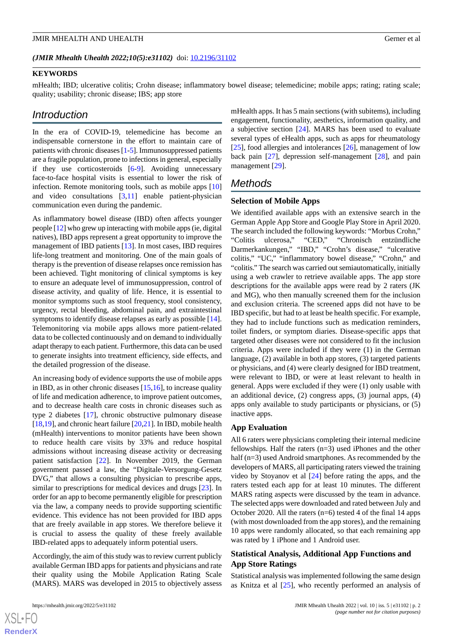### *(JMIR Mhealth Uhealth 2022;10(5):e31102)* doi: [10.2196/31102](http://dx.doi.org/10.2196/31102)

#### **KEYWORDS**

mHealth; IBD; ulcerative colitis; Crohn disease; inflammatory bowel disease; telemedicine; mobile apps; rating; rating scale; quality; usability; chronic disease; IBS; app store

## *Introduction*

In the era of COVID-19, telemedicine has become an indispensable cornerstone in the effort to maintain care of patients with chronic diseases [\[1](#page-9-0)-[5\]](#page-9-1). Immunosuppressed patients are a fragile population, prone to infections in general, especially if they use corticosteroids [[6-](#page-9-2)[9\]](#page-10-0). Avoiding unnecessary face-to-face hospital visits is essential to lower the risk of infection. Remote monitoring tools, such as mobile apps [\[10](#page-10-1)] and video consultations [[3,](#page-9-3)[11](#page-10-2)] enable patient-physician communication even during the pandemic.

As inflammatory bowel disease (IBD) often affects younger people [[12\]](#page-10-3) who grew up interacting with mobile apps (ie, digital natives), IBD apps represent a great opportunity to improve the management of IBD patients [\[13](#page-10-4)]. In most cases, IBD requires life-long treatment and monitoring. One of the main goals of therapy is the prevention of disease relapses once remission has been achieved. Tight monitoring of clinical symptoms is key to ensure an adequate level of immunosuppression, control of disease activity, and quality of life. Hence, it is essential to monitor symptoms such as stool frequency, stool consistency, urgency, rectal bleeding, abdominal pain, and extraintestinal symptoms to identify disease relapses as early as possible [[14\]](#page-10-5). Telemonitoring via mobile apps allows more patient-related data to be collected continuously and on demand to individually adapt therapy to each patient. Furthermore, this data can be used to generate insights into treatment efficiency, side effects, and the detailed progression of the disease.

An increasing body of evidence supports the use of mobile apps in IBD, as in other chronic diseases [\[15](#page-10-6),[16\]](#page-10-7), to increase quality of life and medication adherence, to improve patient outcomes, and to decrease health care costs in chronic diseases such as type 2 diabetes [\[17](#page-10-8)], chronic obstructive pulmonary disease [[18,](#page-10-9)[19](#page-10-10)], and chronic heart failure [\[20](#page-10-11),[21\]](#page-10-12). In IBD, mobile health (mHealth) interventions to monitor patients have been shown to reduce health care visits by 33% and reduce hospital admissions without increasing disease activity or decreasing patient satisfaction [[22\]](#page-10-13). In November 2019, the German government passed a law, the "Digitale-Versorgung-Gesetz DVG," that allows a consulting physician to prescribe apps, similar to prescriptions for medical devices and drugs [[23\]](#page-10-14). In order for an app to become permanently eligible for prescription via the law, a company needs to provide supporting scientific evidence. This evidence has not been provided for IBD apps that are freely available in app stores. We therefore believe it is crucial to assess the quality of these freely available IBD-related apps to adequately inform potential users.

Accordingly, the aim of this study was to review current publicly available German IBD apps for patients and physicians and rate their quality using the Mobile Application Rating Scale (MARS). MARS was developed in 2015 to objectively assess

mHealth apps. It has 5 main sections (with subitems), including engagement, functionality, aesthetics, information quality, and a subjective section [\[24](#page-10-15)]. MARS has been used to evaluate several types of eHealth apps, such as apps for rheumatology [[25\]](#page-10-16), food allergies and intolerances [[26\]](#page-10-17), management of low back pain [\[27](#page-10-18)], depression self-management [\[28](#page-11-0)], and pain management [[29\]](#page-11-1).

## *Methods*

#### **Selection of Mobile Apps**

We identified available apps with an extensive search in the German Apple App Store and Google Play Store in April 2020. The search included the following keywords: "Morbus Crohn," "Colitis ulcerosa," "CED," "Chronisch entzündliche Darmerkankungen," "IBD," "Crohn's disease," "ulcerative colitis," "UC," "inflammatory bowel disease," "Crohn," and "colitis." The search was carried out semiautomatically, initially using a web crawler to retrieve available apps. The app store descriptions for the available apps were read by 2 raters (JK and MG), who then manually screened them for the inclusion and exclusion criteria. The screened apps did not have to be IBD specific, but had to at least be health specific. For example, they had to include functions such as medication reminders, toilet finders, or symptom diaries. Disease-specific apps that targeted other diseases were not considered to fit the inclusion criteria. Apps were included if they were (1) in the German language, (2) available in both app stores, (3) targeted patients or physicians, and (4) were clearly designed for IBD treatment, were relevant to IBD, or were at least relevant to health in general. Apps were excluded if they were (1) only usable with an additional device, (2) congress apps, (3) journal apps, (4) apps only available to study participants or physicians, or (5) inactive apps.

#### **App Evaluation**

All 6 raters were physicians completing their internal medicine fellowships. Half the raters (n=3) used iPhones and the other half (n=3) used Android smartphones. As recommended by the developers of MARS, all participating raters viewed the training video by Stoyanov et al [\[24](#page-10-15)] before rating the apps, and the raters tested each app for at least 10 minutes. The different MARS rating aspects were discussed by the team in advance. The selected apps were downloaded and rated between July and October 2020. All the raters (n=6) tested 4 of the final 14 apps (with most downloaded from the app stores), and the remaining 10 apps were randomly allocated, so that each remaining app was rated by 1 iPhone and 1 Android user.

## **Statistical Analysis, Additional App Functions and App Store Ratings**

Statistical analysis was implemented following the same design as Knitza et al [\[25](#page-10-16)], who recently performed an analysis of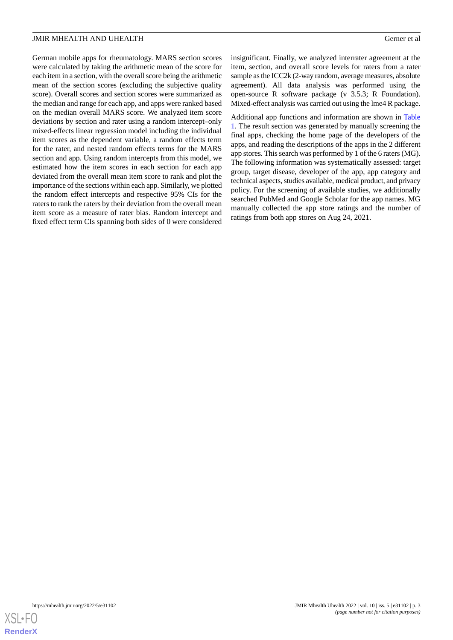German mobile apps for rheumatology. MARS section scores were calculated by taking the arithmetic mean of the score for each item in a section, with the overall score being the arithmetic mean of the section scores (excluding the subjective quality score). Overall scores and section scores were summarized as the median and range for each app, and apps were ranked based on the median overall MARS score. We analyzed item score deviations by section and rater using a random intercept–only mixed-effects linear regression model including the individual item scores as the dependent variable, a random effects term for the rater, and nested random effects terms for the MARS section and app. Using random intercepts from this model, we estimated how the item scores in each section for each app deviated from the overall mean item score to rank and plot the importance of the sections within each app. Similarly, we plotted the random effect intercepts and respective 95% CIs for the raters to rank the raters by their deviation from the overall mean item score as a measure of rater bias. Random intercept and fixed effect term CIs spanning both sides of 0 were considered

insignificant. Finally, we analyzed interrater agreement at the item, section, and overall score levels for raters from a rater sample as the ICC2k (2-way random, average measures, absolute agreement). All data analysis was performed using the open-source R software package (v 3.5.3; R Foundation). Mixed-effect analysis was carried out using the lme4 R package.

Additional app functions and information are shown in [Table](#page-3-0) [1.](#page-3-0) The result section was generated by manually screening the final apps, checking the home page of the developers of the apps, and reading the descriptions of the apps in the 2 different app stores. This search was performed by 1 of the 6 raters (MG). The following information was systematically assessed: target group, target disease, developer of the app, app category and technical aspects, studies available, medical product, and privacy policy. For the screening of available studies, we additionally searched PubMed and Google Scholar for the app names. MG manually collected the app store ratings and the number of ratings from both app stores on Aug 24, 2021.

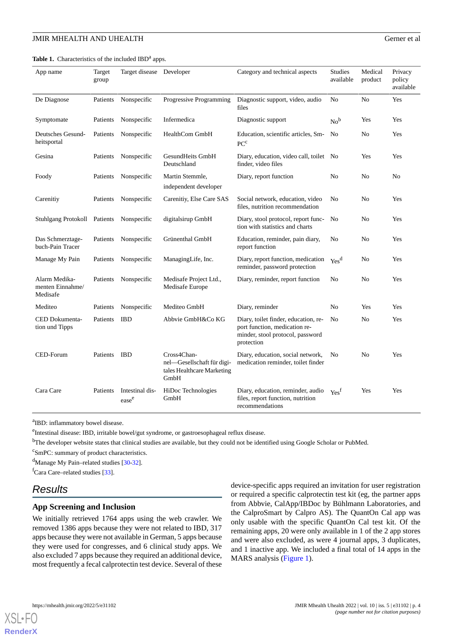<span id="page-3-0"></span>Table 1. Characteristics of the included IBD<sup>a</sup> apps.

| App name                                      | Target<br>group | Target disease                       | Developer                                                                       | Category and technical aspects                                                                                          | <b>Studies</b><br>available | Medical<br>product | Privacy<br>policy<br>available |
|-----------------------------------------------|-----------------|--------------------------------------|---------------------------------------------------------------------------------|-------------------------------------------------------------------------------------------------------------------------|-----------------------------|--------------------|--------------------------------|
| De Diagnose                                   | Patients        | Nonspecific                          | Progressive Programming                                                         | Diagnostic support, video, audio<br>files                                                                               | N <sub>0</sub>              | N <sub>0</sub>     | Yes                            |
| Symptomate                                    | Patients        | Nonspecific                          | Infermedica                                                                     | Diagnostic support                                                                                                      | $No^b$                      | Yes                | Yes                            |
| Deutsches Gesund-<br>heitsportal              | Patients        | Nonspecific                          | HealthCom GmbH                                                                  | Education, scientific articles, Sm-<br>PC <sup>c</sup>                                                                  | No                          | No                 | Yes                            |
| Gesina                                        | Patients        | Nonspecific                          | GesundHeits GmbH<br>Deutschland                                                 | Diary, education, video call, toilet No<br>finder, video files                                                          |                             | Yes                | Yes                            |
| Foody                                         | Patients        | Nonspecific                          | Martin Stemmle,<br>independent developer                                        | Diary, report function                                                                                                  | N <sub>0</sub>              | N <sub>0</sub>     | N <sub>0</sub>                 |
| Carenitiy                                     | Patients        | Nonspecific                          | Carenitiy, Else Care SAS                                                        | Social network, education, video<br>files, nutrition recommendation                                                     | No                          | No                 | Yes                            |
| <b>Stuhlgang Protokoll</b>                    | Patients        | Nonspecific                          | digitalsirup GmbH                                                               | Diary, stool protocol, report func-<br>tion with statistics and charts                                                  | No                          | No                 | Yes                            |
| Das Schmerztage-<br>buch-Pain Tracer          | Patients        | Nonspecific                          | Grünenthal GmbH                                                                 | Education, reminder, pain diary,<br>report function                                                                     | No                          | No                 | Yes                            |
| Manage My Pain                                | Patients        | Nonspecific                          | ManagingLife, Inc.                                                              | Diary, report function, medication<br>reminder, password protection                                                     | Yes <sup>d</sup>            | No                 | Yes                            |
| Alarm Medika-<br>menten Einnahme/<br>Medisafe | Patients        | Nonspecific                          | Medisafe Project Ltd.,<br>Medisafe Europe                                       | Diary, reminder, report function                                                                                        | No                          | No                 | Yes                            |
| Mediteo                                       | Patients        | Nonspecific                          | Mediteo GmbH                                                                    | Diary, reminder                                                                                                         | No                          | Yes                | Yes                            |
| CED Dokumenta-<br>tion und Tipps              | Patients        | <b>IBD</b>                           | Abbvie GmbH&Co KG                                                               | Diary, toilet finder, education, re-<br>port function, medication re-<br>minder, stool protocol, password<br>protection | N <sub>0</sub>              | No                 | Yes                            |
| CED-Forum                                     | Patients        | <b>IBD</b>                           | Cross4Chan-<br>nel-Gesellschaft für digi-<br>tales Healthcare Marketing<br>GmbH | Diary, education, social network,<br>medication reminder, toilet finder                                                 | No                          | No                 | Yes                            |
| Cara Care                                     | Patients        | Intestinal dis-<br>ease <sup>e</sup> | HiDoc Technologies<br>GmbH                                                      | Diary, education, reminder, audio<br>files, report function, nutrition<br>recommendations                               | Yes <sup>f</sup>            | Yes                | Yes                            |

<sup>a</sup>IBD: inflammatory bowel disease.

e<br>Intestinal disease: IBD, irritable bowel/gut syndrome, or gastroesophageal reflux disease.

<sup>b</sup>The developer website states that clinical studies are available, but they could not be identified using Google Scholar or PubMed.

<sup>c</sup>SmPC: summary of product characteristics.

<sup>d</sup>Manage My Pain–related studies [\[30](#page-11-2)-[32](#page-11-3)].

 ${}^f$ Cara Care–related studies [\[33\]](#page-11-4).

## *Results*

### **App Screening and Inclusion**

We initially retrieved 1764 apps using the web crawler. We removed 1386 apps because they were not related to IBD, 317 apps because they were not available in German, 5 apps because they were used for congresses, and 6 clinical study apps. We also excluded 7 apps because they required an additional device, most frequently a fecal calprotectin test device. Several of these device-specific apps required an invitation for user registration or required a specific calprotectin test kit (eg, the partner apps from Abbvie, CalApp/IBDoc by Bühlmann Laboratories, and the CalproSmart by Calpro AS). The QuantOn Cal app was only usable with the specific QuantOn Cal test kit. Of the remaining apps, 20 were only available in 1 of the 2 app stores and were also excluded, as were 4 journal apps, 3 duplicates, and 1 inactive app. We included a final total of 14 apps in the MARS analysis [\(Figure 1](#page-4-0)).

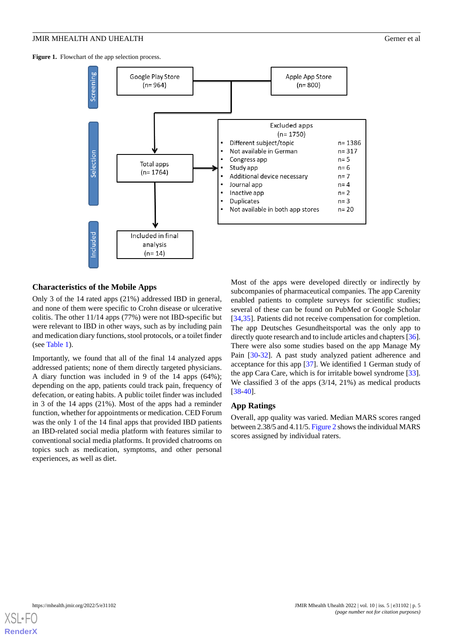<span id="page-4-0"></span>Figure 1. Flowchart of the app selection process.



## **Characteristics of the Mobile Apps**

Only 3 of the 14 rated apps (21%) addressed IBD in general, and none of them were specific to Crohn disease or ulcerative colitis. The other 11/14 apps (77%) were not IBD-specific but were relevant to IBD in other ways, such as by including pain and medication diary functions, stool protocols, or a toilet finder (see [Table 1\)](#page-3-0).

Importantly, we found that all of the final 14 analyzed apps addressed patients; none of them directly targeted physicians. A diary function was included in 9 of the 14 apps (64%); depending on the app, patients could track pain, frequency of defecation, or eating habits. A public toilet finder was included in 3 of the 14 apps (21%). Most of the apps had a reminder function, whether for appointments or medication. CED Forum was the only 1 of the 14 final apps that provided IBD patients an IBD-related social media platform with features similar to conventional social media platforms. It provided chatrooms on topics such as medication, symptoms, and other personal experiences, as well as diet.

Most of the apps were developed directly or indirectly by subcompanies of pharmaceutical companies. The app Carenity enabled patients to complete surveys for scientific studies; several of these can be found on PubMed or Google Scholar [[34,](#page-11-5)[35\]](#page-11-6). Patients did not receive compensation for completion. The app Deutsches Gesundheitsportal was the only app to directly quote research and to include articles and chapters [\[36\]](#page-11-7). There were also some studies based on the app Manage My Pain [\[30](#page-11-2)[-32](#page-11-3)]. A past study analyzed patient adherence and acceptance for this app [\[37](#page-11-8)]. We identified 1 German study of the app Cara Care, which is for irritable bowel syndrome [[33\]](#page-11-4). We classified 3 of the apps (3/14, 21%) as medical products [[38](#page-11-9)[-40](#page-11-10)].

## **App Ratings**

Overall, app quality was varied. Median MARS scores ranged between 2.38/5 and 4.11/5. [Figure 2](#page-5-0) shows the individual MARS scores assigned by individual raters.

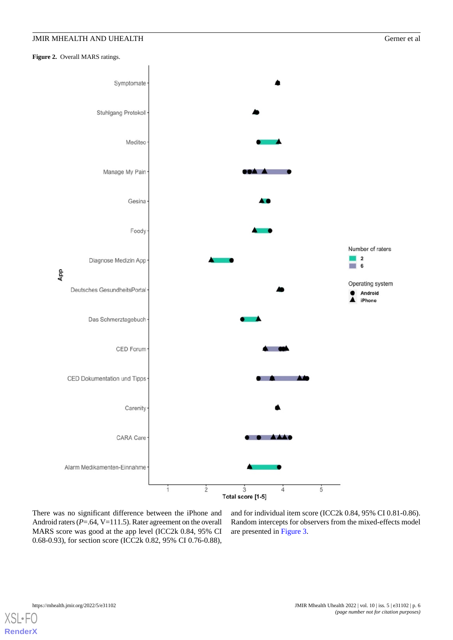<span id="page-5-0"></span>Figure 2. Overall MARS ratings.



There was no significant difference between the iPhone and Android raters (*P*=.64, V=111.5). Rater agreement on the overall MARS score was good at the app level (ICC2k 0.84, 95% CI 0.68-0.93), for section score (ICC2k 0.82, 95% CI 0.76-0.88),

and for individual item score (ICC2k 0.84, 95% CI 0.81-0.86). Random intercepts for observers from the mixed-effects model are presented in [Figure 3](#page-6-0).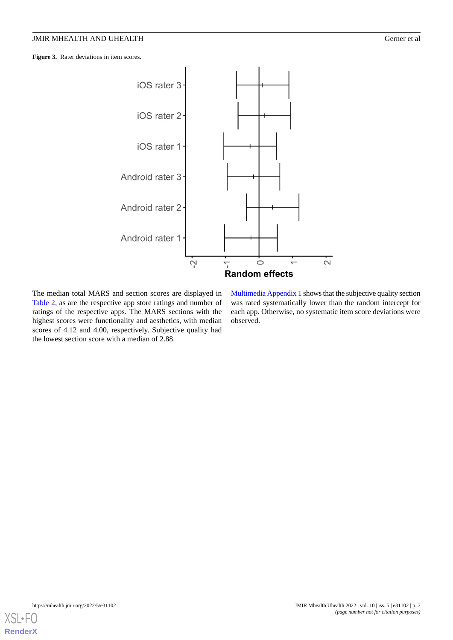<span id="page-6-0"></span>Figure 3. Rater deviations in item scores.



The median total MARS and section scores are displayed in [Table 2](#page-7-0), as are the respective app store ratings and number of ratings of the respective apps. The MARS sections with the highest scores were functionality and aesthetics, with median scores of 4.12 and 4.00, respectively. Subjective quality had the lowest section score with a median of 2.88.

[Multimedia Appendix 1](#page-9-4) shows that the subjective quality section was rated systematically lower than the random intercept for each app. Otherwise, no systematic item score deviations were observed.

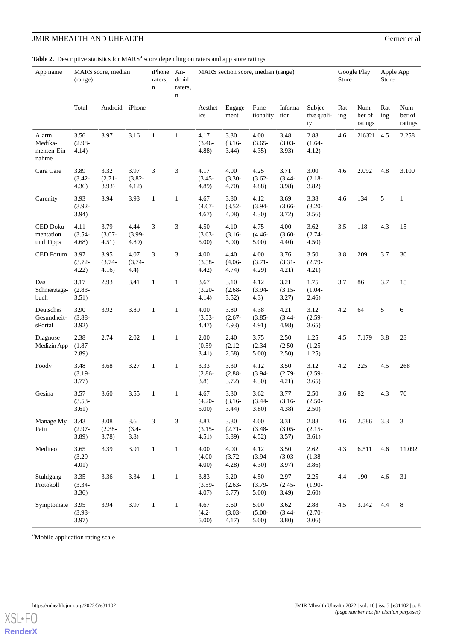<span id="page-7-0"></span>Table 2. Descriptive statistics for MARS<sup>a</sup> score depending on raters and app store ratings.

| App name                                 | MARS score, median<br>(range) |                            |                            | iPhone<br>raters,<br>$\mathbf n$ | An-<br>droid<br>raters,<br>$\mathbf n$ |                            | MARS section score, median (range) |                            |                            | Google Play<br>Store         |             | Apple App<br>Store        |             |                           |
|------------------------------------------|-------------------------------|----------------------------|----------------------------|----------------------------------|----------------------------------------|----------------------------|------------------------------------|----------------------------|----------------------------|------------------------------|-------------|---------------------------|-------------|---------------------------|
|                                          | Total                         | Android iPhone             |                            |                                  |                                        | Aesthet-<br>ics            | Engage-<br>ment                    | Func-<br>tionality         | Informa-<br>tion           | Subjec-<br>tive quali-<br>ty | Rat-<br>ing | Num-<br>ber of<br>ratings | Rat-<br>ing | Num-<br>ber of<br>ratings |
| Alarm<br>Medika-<br>menten-Ein-<br>nahme | 3.56<br>$(2.98 -$<br>4.14)    | 3.97                       | 3.16                       | $\mathbf{1}$                     | $\mathbf{1}$                           | 4.17<br>$(3.46 -$<br>4.88  | 3.30<br>$(3.16 -$<br>3.44)         | 4.00<br>$(3.65 -$<br>4.35) | 3.48<br>$(3.03 -$<br>3.93) | 2.88<br>$(1.64 -$<br>4.12)   | 4.6         | 216.321                   | 4.5         | 2.258                     |
| Cara Care                                | 3.89<br>$(3.42 -$<br>4.36)    | 3.32<br>$(2.71 -$<br>3.93) | 3.97<br>$(3.82 -$<br>4.12) | 3                                | 3                                      | 4.17<br>$(3.45 -$<br>4.89) | 4.00<br>$(3.30 -$<br>4.70)         | 4.25<br>$(3.62 -$<br>4.88  | 3.71<br>$(3.44 -$<br>3.98) | 3.00<br>$(2.18 -$<br>3.82)   | 4.6         | 2.092                     | 4.8         | 3.100                     |
| Carenity                                 | 3.93<br>$(3.92 -$<br>3.94)    | 3.94                       | 3.93                       | $\mathbf{1}$                     | $\mathbf{1}$                           | 4.67<br>$(4.67 -$<br>4.67) | 3.80<br>$(3.52 -$<br>4.08)         | 4.12<br>$(3.94 -$<br>4.30) | 3.69<br>$(3.66 -$<br>3.72) | 3.38<br>$(3.20 -$<br>3.56)   | 4.6         | 134                       | 5           | $\mathbf{1}$              |
| CED Doku-<br>mentation<br>und Tipps      | 4.11<br>$(3.54 -$<br>4.68)    | 3.79<br>$(3.07 -$<br>4.51) | 4.44<br>$(3.99 -$<br>4.89) | 3                                | 3                                      | 4.50<br>$(3.63 -$<br>5.00) | 4.10<br>$(3.16 -$<br>5.00)         | 4.75<br>$(4.46 -$<br>5.00) | 4.00<br>$(3.60 -$<br>4.40) | 3.62<br>$(2.74 -$<br>4.50)   | 3.5         | 118                       | 4.3         | 15                        |
| CED Forum                                | 3.97<br>$(3.72 -$<br>4.22)    | 3.95<br>$(3.74 -$<br>4.16) | 4.07<br>$(3.74 -$<br>4.4)  | 3                                | 3                                      | 4.00<br>$(3.58 -$<br>4.42) | 4.40<br>$(4.06 -$<br>4.74)         | 4.00<br>$(3.71 -$<br>4.29) | 3.76<br>$(3.31 -$<br>4.21) | 3.50<br>$(2.79 -$<br>4.21)   | 3.8         | 209                       | 3.7         | 30                        |
| Das<br>Schmerztage-<br>buch              | 3.17<br>$(2.83 -$<br>3.51)    | 2.93                       | 3.41                       | 1                                | $\mathbf{1}$                           | 3.67<br>$(3.20 -$<br>4.14) | 3.10<br>$(2.68 -$<br>3.52)         | 4.12<br>$(3.94 -$<br>4.3)  | 3.21<br>$(3.15 -$<br>3.27) | 1.75<br>$(1.04 -$<br>(2.46)  | 3.7         | 86                        | 3.7         | 15                        |
| Deutsches<br>Gesundheit-<br>sPortal      | 3.90<br>$(3.88 -$<br>3.92)    | 3.92                       | 3.89                       | 1                                | $\mathbf{1}$                           | 4.00<br>$(3.53 -$<br>4.47) | 3.80<br>$(2.67 -$<br>4.93)         | 4.38<br>$(3.85 -$<br>4.91) | 4.21<br>$(3.44 -$<br>4.98) | 3.12<br>$(2.59 -$<br>3.65)   | 4.2         | 64                        | 5           | 6                         |
| Diagnose<br>Medizin App                  | 2.38<br>$(1.87 -$<br>2.89)    | 2.74                       | 2.02                       | $\mathbf{1}$                     | $\mathbf{1}$                           | 2.00<br>$(0.59 -$<br>3.41) | 2.40<br>$(2.12 -$<br>2.68)         | 3.75<br>$(2.34 -$<br>5.00) | 2.50<br>$(2.50 -$<br>2.50) | 1.25<br>$(1.25 -$<br>1.25)   | 4.5         | 7.179                     | 3.8         | 23                        |
| Foody                                    | 3.48<br>$(3.19 -$<br>3.77)    | 3.68                       | 3.27                       | $\mathbf{1}$                     | $\mathbf{1}$                           | 3.33<br>$(2.86 -$<br>3.8)  | 3.30<br>$(2.88 -$<br>3.72)         | 4.12<br>$(3.94 -$<br>4.30) | 3.50<br>$(2.79 -$<br>4.21) | 3.12<br>$(2.59 -$<br>3.65)   | 4.2         | 225                       | 4.5         | 268                       |
| Gesina                                   | 3.57<br>$(3.53 -$<br>3.61)    | 3.60                       | 3.55                       | $\mathbf{1}$                     | $\mathbf{1}$                           | 4.67<br>$(4.20 -$<br>5.00) | 3.30<br>$(3.16 -$<br>3.44)         | 3.62<br>$(3.44 -$<br>3.80) | 3.77<br>$(3.16 -$<br>4.38) | 2.50<br>$(2.50 -$<br>2.50)   | 3.6         | 82                        | 4.3         | 70                        |
| Manage My<br>Pain                        | 3.43<br>$(2.97 -$<br>3.89)    | 3.08<br>$(2.38 -$<br>3.78) | 3.6<br>$(3.4 -$<br>3.8)    | 3                                | 3                                      | 3.83<br>$(3.15 -$<br>4.51) | 3.30<br>$(2.71 -$<br>3.89)         | 4.00<br>$(3.48 -$<br>4.52) | 3.31<br>$(3.05 -$<br>3.57) | 2.88<br>$(2.15 -$<br>3.61)   | 4.6         | 2.586                     | 3.3         | 3                         |
| Mediteo                                  | 3.65<br>$(3.29 -$<br>4.01)    | 3.39                       | 3.91                       | $\mathbf{1}$                     | $\mathbf{1}$                           | 4.00<br>$(4.00 -$<br>4.00) | 4.00<br>$(3.72 -$<br>4.28)         | 4.12<br>$(3.94 -$<br>4.30) | 3.50<br>$(3.03 -$<br>3.97) | 2.62<br>$(1.38 -$<br>3.86)   | 4.3         | 6.511                     | 4.6         | 11.092                    |
| Stuhlgang<br>Protokoll                   | 3.35<br>$(3.34 -$<br>3.36)    | 3.36                       | 3.34                       | $\mathbf{1}$                     | $\mathbf{1}$                           | 3.83<br>$(3.59 -$<br>4.07) | 3.20<br>$(2.63 -$<br>3.77)         | 4.50<br>$(3.79 -$<br>5.00) | 2.97<br>$(2.45 -$<br>3.49) | 2.25<br>$(1.90 -$<br>2.60)   | 4.4         | 190                       | 4.6         | 31                        |
| Symptomate                               | 3.95<br>$(3.93 -$<br>3.97)    | 3.94                       | 3.97                       | $\mathbf{1}$                     | $\mathbf{1}$                           | 4.67<br>$(4.2 -$<br>5.00)  | 3.60<br>$(3.03 -$<br>4.17)         | 5.00<br>$(5.00 -$<br>5.00) | 3.62<br>$(3.44 -$<br>3.80) | 2.88<br>$(2.70 -$<br>3.06)   | 4.5         | 3.142                     | 4.4         | 8                         |

<sup>a</sup>Mobile application rating scale

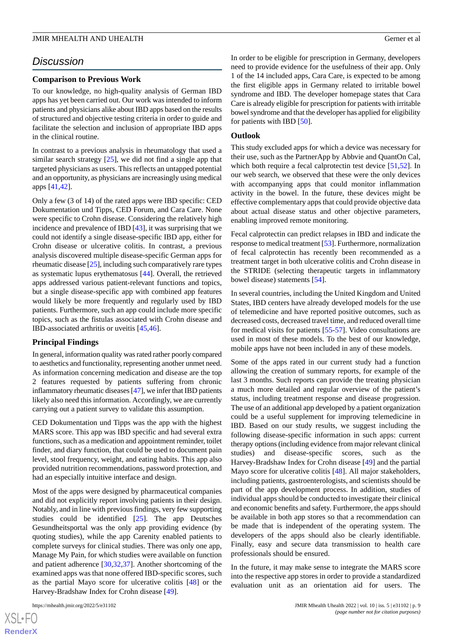## *Discussion*

## **Comparison to Previous Work**

To our knowledge, no high-quality analysis of German IBD apps has yet been carried out. Our work was intended to inform patients and physicians alike about IBD apps based on the results of structured and objective testing criteria in order to guide and facilitate the selection and inclusion of appropriate IBD apps in the clinical routine.

In contrast to a previous analysis in rheumatology that used a similar search strategy  $[25]$  $[25]$ , we did not find a single app that targeted physicians as users. This reflects an untapped potential and an opportunity, as physicians are increasingly using medical apps [[41,](#page-11-11)[42](#page-11-12)].

Only a few (3 of 14) of the rated apps were IBD specific: CED Dokumentation und Tipps, CED Forum, and Cara Care. None were specific to Crohn disease. Considering the relatively high incidence and prevalence of IBD [[43\]](#page-11-13), it was surprising that we could not identify a single disease-specific IBD app, either for Crohn disease or ulcerative colitis. In contrast, a previous analysis discovered multiple disease-specific German apps for rheumatic disease [\[25\]](#page-10-16), including such comparatively rare types as systematic lupus erythematosus [\[44](#page-11-14)]. Overall, the retrieved apps addressed various patient-relevant functions and topics, but a single disease-specific app with combined app features would likely be more frequently and regularly used by IBD patients. Furthermore, such an app could include more specific topics, such as the fistulas associated with Crohn disease and IBD-associated arthritis or uveitis [[45,](#page-11-15)[46\]](#page-11-16).

#### **Principal Findings**

In general, information quality was rated rather poorly compared to aesthetics and functionality, representing another unmet need. As information concerning medication and disease are the top 2 features requested by patients suffering from chronic inflammatory rheumatic diseases [\[47](#page-11-17)], we infer that IBD patients likely also need this information. Accordingly, we are currently carrying out a patient survey to validate this assumption.

CED Dokumentation und Tipps was the app with the highest MARS score. This app was IBD specific and had several extra functions, such as a medication and appointment reminder, toilet finder, and diary function, that could be used to document pain level, stool frequency, weight, and eating habits. This app also provided nutrition recommendations, password protection, and had an especially intuitive interface and design.

Most of the apps were designed by pharmaceutical companies and did not explicitly report involving patients in their design. Notably, and in line with previous findings, very few supporting studies could be identified [\[25](#page-10-16)]. The app Deutsches Gesundheitsportal was the only app providing evidence (by quoting studies), while the app Carenity enabled patients to complete surveys for clinical studies. There was only one app, Manage My Pain, for which studies were available on function and patient adherence [\[30](#page-11-2),[32](#page-11-3)[,37](#page-11-8)]. Another shortcoming of the examined apps was that none offered IBD-specific scores, such as the partial Mayo score for ulcerative colitis [\[48](#page-11-18)] or the Harvey-Bradshaw Index for Crohn disease [[49\]](#page-11-19).

In order to be eligible for prescription in Germany, developers need to provide evidence for the usefulness of their app. Only 1 of the 14 included apps, Cara Care, is expected to be among the first eligible apps in Germany related to irritable bowel syndrome and IBD. The developer homepage states that Cara Care is already eligible for prescription for patients with irritable bowel syndrome and that the developer has applied for eligibility for patients with IBD [[50\]](#page-11-20).

#### **Outlook**

This study excluded apps for which a device was necessary for their use, such as the PartnerApp by Abbvie and QuantOn Cal, which both require a fecal calprotectin test device [\[51](#page-11-21),[52\]](#page-12-0). In our web search, we observed that these were the only devices with accompanying apps that could monitor inflammation activity in the bowel. In the future, these devices might be effective complementary apps that could provide objective data about actual disease status and other objective parameters, enabling improved remote monitoring.

Fecal calprotectin can predict relapses in IBD and indicate the response to medical treatment [\[53\]](#page-12-1). Furthermore, normalization of fecal calprotectin has recently been recommended as a treatment target in both ulcerative colitis and Crohn disease in the STRIDE (selecting therapeutic targets in inflammatory bowel disease) statements [\[54](#page-12-2)].

In several countries, including the United Kingdom and United States, IBD centers have already developed models for the use of telemedicine and have reported positive outcomes, such as decreased costs, decreased travel time, and reduced overall time for medical visits for patients [\[55](#page-12-3)[-57](#page-12-4)]. Video consultations are used in most of these models. To the best of our knowledge, mobile apps have not been included in any of these models.

Some of the apps rated in our current study had a function allowing the creation of summary reports, for example of the last 3 months. Such reports can provide the treating physician a much more detailed and regular overview of the patient's status, including treatment response and disease progression. The use of an additional app developed by a patient organization could be a useful supplement for improving telemedicine in IBD. Based on our study results, we suggest including the following disease-specific information in such apps: current therapy options (including evidence from major relevant clinical studies) and disease-specific scores, such as the Harvey-Bradshaw Index for Crohn disease [[49\]](#page-11-19) and the partial Mayo score for ulcerative colitis [\[48](#page-11-18)]. All major stakeholders, including patients, gastroenterologists, and scientists should be part of the app development process. In addition, studies of individual apps should be conducted to investigate their clinical and economic benefits and safety. Furthermore, the apps should be available in both app stores so that a recommendation can be made that is independent of the operating system. The developers of the apps should also be clearly identifiable. Finally, easy and secure data transmission to health care professionals should be ensured.

In the future, it may make sense to integrate the MARS score into the respective app stores in order to provide a standardized evaluation unit as an orientation aid for users. The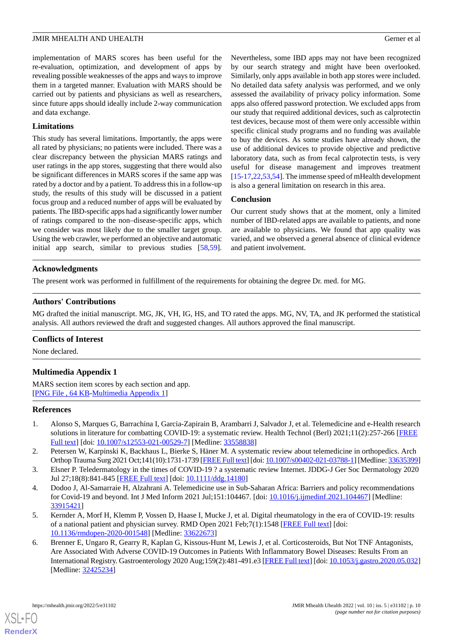implementation of MARS scores has been useful for the re-evaluation, optimization, and development of apps by revealing possible weaknesses of the apps and ways to improve them in a targeted manner. Evaluation with MARS should be carried out by patients and physicians as well as researchers, since future apps should ideally include 2-way communication and data exchange.

## **Limitations**

This study has several limitations. Importantly, the apps were all rated by physicians; no patients were included. There was a clear discrepancy between the physician MARS ratings and user ratings in the app stores, suggesting that there would also be significant differences in MARS scores if the same app was rated by a doctor and by a patient. To address this in a follow-up study, the results of this study will be discussed in a patient focus group and a reduced number of apps will be evaluated by patients. The IBD-specific apps had a significantly lower number of ratings compared to the non–disease-specific apps, which we consider was most likely due to the smaller target group. Using the web crawler, we performed an objective and automatic initial app search, similar to previous studies [\[58](#page-12-5),[59\]](#page-12-6).

Nevertheless, some IBD apps may not have been recognized by our search strategy and might have been overlooked. Similarly, only apps available in both app stores were included. No detailed data safety analysis was performed, and we only assessed the availability of privacy policy information. Some apps also offered password protection. We excluded apps from our study that required additional devices, such as calprotectin test devices, because most of them were only accessible within specific clinical study programs and no funding was available to buy the devices. As some studies have already shown, the use of additional devices to provide objective and predictive laboratory data, such as from fecal calprotectin tests, is very useful for disease management and improves treatment [[15](#page-10-6)[-17](#page-10-8),[22](#page-10-13)[,53](#page-12-1),[54\]](#page-12-2). The immense speed of mHealth development is also a general limitation on research in this area.

## **Conclusion**

Our current study shows that at the moment, only a limited number of IBD-related apps are available to patients, and none are available to physicians. We found that app quality was varied, and we observed a general absence of clinical evidence and patient involvement.

## **Acknowledgments**

The present work was performed in fulfillment of the requirements for obtaining the degree Dr. med. for MG.

## **Authors' Contributions**

MG drafted the initial manuscript. MG, JK, VH, IG, HS, and TO rated the apps. MG, NV, TA, and JK performed the statistical analysis. All authors reviewed the draft and suggested changes. All authors approved the final manuscript.

## <span id="page-9-4"></span>**Conflicts of Interest**

None declared.

## **Multimedia Appendix 1**

<span id="page-9-0"></span>MARS section item scores by each section and app. [[PNG File , 64 KB-Multimedia Appendix 1](https://jmir.org/api/download?alt_name=mhealth_v10i5e31102_app1.png&filename=84a7296e2b62eafdc6167ee2a02d0e9e.png)]

## **References**

- <span id="page-9-3"></span>1. Alonso S, Marques G, Barrachina I, Garcia-Zapirain B, Arambarri J, Salvador J, et al. Telemedicine and e-Health research solutions in literature for combatting COVID-19: a systematic review. Health Technol (Berl) 2021;11(2):257-266 [[FREE](http://europepmc.org/abstract/MED/33558838) [Full text\]](http://europepmc.org/abstract/MED/33558838) [doi: [10.1007/s12553-021-00529-7](http://dx.doi.org/10.1007/s12553-021-00529-7)] [Medline: [33558838](http://www.ncbi.nlm.nih.gov/entrez/query.fcgi?cmd=Retrieve&db=PubMed&list_uids=33558838&dopt=Abstract)]
- 2. Petersen W, Karpinski K, Backhaus L, Bierke S, Häner M. A systematic review about telemedicine in orthopedics. Arch Orthop Trauma Surg 2021 Oct;141(10):1731-1739 [[FREE Full text](http://europepmc.org/abstract/MED/33635399)] [doi: [10.1007/s00402-021-03788-1](http://dx.doi.org/10.1007/s00402-021-03788-1)] [Medline: [33635399\]](http://www.ncbi.nlm.nih.gov/entrez/query.fcgi?cmd=Retrieve&db=PubMed&list_uids=33635399&dopt=Abstract)
- <span id="page-9-1"></span>3. Elsner P. Teledermatology in the times of COVID-19 ? a systematic review Internet. JDDG-J Ger Soc Dermatology 2020 Jul 27;18(8):841-845 [\[FREE Full text\]](https://onlinelibrary.wiley.com/doi/10.1111/ddg.14180) [doi: [10.1111/ddg.14180](http://dx.doi.org/10.1111/ddg.14180)]
- <span id="page-9-2"></span>4. Dodoo J, Al-Samarraie H, Alzahrani A. Telemedicine use in Sub-Saharan Africa: Barriers and policy recommendations for Covid-19 and beyond. Int J Med Inform 2021 Jul;151:104467. [doi: [10.1016/j.ijmedinf.2021.104467\]](http://dx.doi.org/10.1016/j.ijmedinf.2021.104467) [Medline: [33915421](http://www.ncbi.nlm.nih.gov/entrez/query.fcgi?cmd=Retrieve&db=PubMed&list_uids=33915421&dopt=Abstract)]
- 5. Kernder A, Morf H, Klemm P, Vossen D, Haase I, Mucke J, et al. Digital rheumatology in the era of COVID-19: results of a national patient and physician survey. RMD Open 2021 Feb;7(1):1548 [\[FREE Full text\]](https://rmdopen.bmj.com/lookup/pmidlookup?view=long&pmid=33622673) [doi: [10.1136/rmdopen-2020-001548](http://dx.doi.org/10.1136/rmdopen-2020-001548)] [Medline: [33622673\]](http://www.ncbi.nlm.nih.gov/entrez/query.fcgi?cmd=Retrieve&db=PubMed&list_uids=33622673&dopt=Abstract)
- 6. Brenner E, Ungaro R, Gearry R, Kaplan G, Kissous-Hunt M, Lewis J, et al. Corticosteroids, But Not TNF Antagonists, Are Associated With Adverse COVID-19 Outcomes in Patients With Inflammatory Bowel Diseases: Results From an International Registry. Gastroenterology 2020 Aug;159(2):481-491.e3 [\[FREE Full text](http://europepmc.org/abstract/MED/32425234)] [doi: [10.1053/j.gastro.2020.05.032\]](http://dx.doi.org/10.1053/j.gastro.2020.05.032) [Medline: [32425234](http://www.ncbi.nlm.nih.gov/entrez/query.fcgi?cmd=Retrieve&db=PubMed&list_uids=32425234&dopt=Abstract)]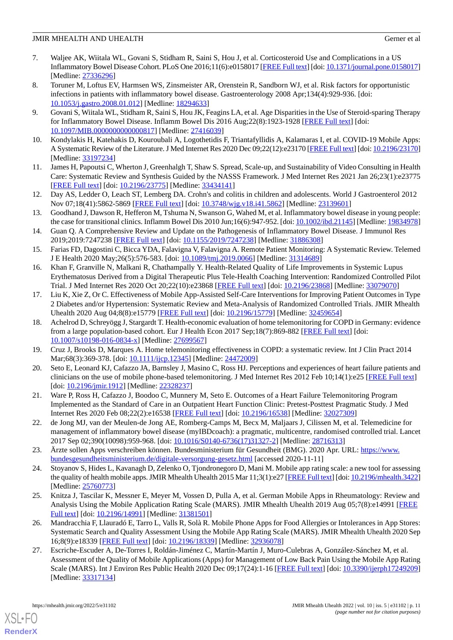- 7. Waljee AK, Wiitala WL, Govani S, Stidham R, Saini S, Hou J, et al. Corticosteroid Use and Complications in a US Inflammatory Bowel Disease Cohort. PLoS One 2016;11(6):e0158017 [[FREE Full text\]](https://dx.plos.org/10.1371/journal.pone.0158017) [doi: [10.1371/journal.pone.0158017](http://dx.doi.org/10.1371/journal.pone.0158017)] [Medline: [27336296](http://www.ncbi.nlm.nih.gov/entrez/query.fcgi?cmd=Retrieve&db=PubMed&list_uids=27336296&dopt=Abstract)]
- 8. Toruner M, Loftus EV, Harmsen WS, Zinsmeister AR, Orenstein R, Sandborn WJ, et al. Risk factors for opportunistic infections in patients with inflammatory bowel disease. Gastroenterology 2008 Apr;134(4):929-936. [doi: [10.1053/j.gastro.2008.01.012\]](http://dx.doi.org/10.1053/j.gastro.2008.01.012) [Medline: [18294633\]](http://www.ncbi.nlm.nih.gov/entrez/query.fcgi?cmd=Retrieve&db=PubMed&list_uids=18294633&dopt=Abstract)
- <span id="page-10-0"></span>9. Govani S, Wiitala WL, Stidham R, Saini S, Hou JK, Feagins LA, et al. Age Disparities in the Use of Steroid-sparing Therapy for Inflammatory Bowel Disease. Inflamm Bowel Dis 2016 Aug;22(8):1923-1928 [\[FREE Full text\]](http://europepmc.org/abstract/MED/27416039) [doi: [10.1097/MIB.0000000000000817](http://dx.doi.org/10.1097/MIB.0000000000000817)] [Medline: [27416039\]](http://www.ncbi.nlm.nih.gov/entrez/query.fcgi?cmd=Retrieve&db=PubMed&list_uids=27416039&dopt=Abstract)
- <span id="page-10-2"></span><span id="page-10-1"></span>10. Kondylakis H, Katehakis D, Kouroubali A, Logothetidis F, Triantafyllidis A, Kalamaras I, et al. COVID-19 Mobile Apps: A Systematic Review of the Literature. J Med Internet Res 2020 Dec 09;22(12):e23170 [\[FREE Full text](https://www.jmir.org/2020/12/e23170/)] [doi: [10.2196/23170\]](http://dx.doi.org/10.2196/23170) [Medline: [33197234](http://www.ncbi.nlm.nih.gov/entrez/query.fcgi?cmd=Retrieve&db=PubMed&list_uids=33197234&dopt=Abstract)]
- <span id="page-10-3"></span>11. James H, Papoutsi C, Wherton J, Greenhalgh T, Shaw S. Spread, Scale-up, and Sustainability of Video Consulting in Health Care: Systematic Review and Synthesis Guided by the NASSS Framework. J Med Internet Res 2021 Jan 26;23(1):e23775 [[FREE Full text](https://www.jmir.org/2021/1/e23775/)] [doi: [10.2196/23775\]](http://dx.doi.org/10.2196/23775) [Medline: [33434141\]](http://www.ncbi.nlm.nih.gov/entrez/query.fcgi?cmd=Retrieve&db=PubMed&list_uids=33434141&dopt=Abstract)
- <span id="page-10-4"></span>12. Day AS, Ledder O, Leach ST, Lemberg DA. Crohn's and colitis in children and adolescents. World J Gastroenterol 2012 Nov 07;18(41):5862-5869 [[FREE Full text\]](https://www.wjgnet.com/1007-9327/full/v18/i41/5862.htm) [doi: [10.3748/wjg.v18.i41.5862\]](http://dx.doi.org/10.3748/wjg.v18.i41.5862) [Medline: [23139601](http://www.ncbi.nlm.nih.gov/entrez/query.fcgi?cmd=Retrieve&db=PubMed&list_uids=23139601&dopt=Abstract)]
- <span id="page-10-5"></span>13. Goodhand J, Dawson R, Hefferon M, Tshuma N, Swanson G, Wahed M, et al. Inflammatory bowel disease in young people: the case for transitional clinics. Inflamm Bowel Dis 2010 Jun;16(6):947-952. [doi: [10.1002/ibd.21145\]](http://dx.doi.org/10.1002/ibd.21145) [Medline: [19834978\]](http://www.ncbi.nlm.nih.gov/entrez/query.fcgi?cmd=Retrieve&db=PubMed&list_uids=19834978&dopt=Abstract)
- <span id="page-10-6"></span>14. Guan Q. A Comprehensive Review and Update on the Pathogenesis of Inflammatory Bowel Disease. J Immunol Res 2019;2019:7247238 [[FREE Full text](https://doi.org/10.1155/2019/7247238)] [doi: [10.1155/2019/7247238\]](http://dx.doi.org/10.1155/2019/7247238) [Medline: [31886308](http://www.ncbi.nlm.nih.gov/entrez/query.fcgi?cmd=Retrieve&db=PubMed&list_uids=31886308&dopt=Abstract)]
- <span id="page-10-7"></span>15. Farias FD, Dagostini C, Bicca YDA, Falavigna V, Falavigna A. Remote Patient Monitoring: A Systematic Review. Telemed J E Health 2020 May;26(5):576-583. [doi: [10.1089/tmj.2019.0066](http://dx.doi.org/10.1089/tmj.2019.0066)] [Medline: [31314689\]](http://www.ncbi.nlm.nih.gov/entrez/query.fcgi?cmd=Retrieve&db=PubMed&list_uids=31314689&dopt=Abstract)
- <span id="page-10-8"></span>16. Khan F, Granville N, Malkani R, Chathampally Y. Health-Related Quality of Life Improvements in Systemic Lupus Erythematosus Derived from a Digital Therapeutic Plus Tele-Health Coaching Intervention: Randomized Controlled Pilot Trial. J Med Internet Res 2020 Oct 20;22(10):e23868 [[FREE Full text](https://www.jmir.org/2020/10/e23868/)] [doi: [10.2196/23868\]](http://dx.doi.org/10.2196/23868) [Medline: [33079070\]](http://www.ncbi.nlm.nih.gov/entrez/query.fcgi?cmd=Retrieve&db=PubMed&list_uids=33079070&dopt=Abstract)
- <span id="page-10-9"></span>17. Liu K, Xie Z, Or C. Effectiveness of Mobile App-Assisted Self-Care Interventions for Improving Patient Outcomes in Type 2 Diabetes and/or Hypertension: Systematic Review and Meta-Analysis of Randomized Controlled Trials. JMIR Mhealth Uhealth 2020 Aug 04;8(8):e15779 [\[FREE Full text\]](https://mhealth.jmir.org/2020/8/e15779/) [doi: [10.2196/15779](http://dx.doi.org/10.2196/15779)] [Medline: [32459654](http://www.ncbi.nlm.nih.gov/entrez/query.fcgi?cmd=Retrieve&db=PubMed&list_uids=32459654&dopt=Abstract)]
- <span id="page-10-11"></span><span id="page-10-10"></span>18. Achelrod D, Schreyögg J, Stargardt T. Health-economic evaluation of home telemonitoring for COPD in Germany: evidence from a large population-based cohort. Eur J Health Econ 2017 Sep;18(7):869-882 [\[FREE Full text\]](http://europepmc.org/abstract/MED/27699567) [doi: [10.1007/s10198-016-0834-x\]](http://dx.doi.org/10.1007/s10198-016-0834-x) [Medline: [27699567](http://www.ncbi.nlm.nih.gov/entrez/query.fcgi?cmd=Retrieve&db=PubMed&list_uids=27699567&dopt=Abstract)]
- <span id="page-10-12"></span>19. Cruz J, Brooks D, Marques A. Home telemonitoring effectiveness in COPD: a systematic review. Int J Clin Pract 2014 Mar;68(3):369-378. [doi: [10.1111/ijcp.12345\]](http://dx.doi.org/10.1111/ijcp.12345) [Medline: [24472009\]](http://www.ncbi.nlm.nih.gov/entrez/query.fcgi?cmd=Retrieve&db=PubMed&list_uids=24472009&dopt=Abstract)
- <span id="page-10-13"></span>20. Seto E, Leonard KJ, Cafazzo JA, Barnsley J, Masino C, Ross HJ. Perceptions and experiences of heart failure patients and clinicians on the use of mobile phone-based telemonitoring. J Med Internet Res 2012 Feb 10;14(1):e25 [\[FREE Full text\]](https://www.jmir.org/2012/1/e25/) [doi: [10.2196/jmir.1912\]](http://dx.doi.org/10.2196/jmir.1912) [Medline: [22328237\]](http://www.ncbi.nlm.nih.gov/entrez/query.fcgi?cmd=Retrieve&db=PubMed&list_uids=22328237&dopt=Abstract)
- <span id="page-10-14"></span>21. Ware P, Ross H, Cafazzo J, Boodoo C, Munnery M, Seto E. Outcomes of a Heart Failure Telemonitoring Program Implemented as the Standard of Care in an Outpatient Heart Function Clinic: Pretest-Posttest Pragmatic Study. J Med Internet Res 2020 Feb 08;22(2):e16538 [\[FREE Full text](https://www.jmir.org/2020/2/e16538/)] [doi: [10.2196/16538](http://dx.doi.org/10.2196/16538)] [Medline: [32027309\]](http://www.ncbi.nlm.nih.gov/entrez/query.fcgi?cmd=Retrieve&db=PubMed&list_uids=32027309&dopt=Abstract)
- <span id="page-10-15"></span>22. de Jong MJ, van der Meulen-de Jong AE, Romberg-Camps M, Becx M, Maljaars J, Cilissen M, et al. Telemedicine for management of inflammatory bowel disease (myIBDcoach): a pragmatic, multicentre, randomised controlled trial. Lancet 2017 Sep 02;390(10098):959-968. [doi: [10.1016/S0140-6736\(17\)31327-2\]](http://dx.doi.org/10.1016/S0140-6736(17)31327-2) [Medline: [28716313](http://www.ncbi.nlm.nih.gov/entrez/query.fcgi?cmd=Retrieve&db=PubMed&list_uids=28716313&dopt=Abstract)]
- <span id="page-10-16"></span>23. Ärzte sollen Apps verschreiben können. Bundesministerium für Gesundheit (BMG). 2020 Apr. URL: [https://www.](https://www.bundesgesundheitsministerium.de/digitale-versorgung-gesetz.html) [bundesgesundheitsministerium.de/digitale-versorgung-gesetz.html](https://www.bundesgesundheitsministerium.de/digitale-versorgung-gesetz.html) [accessed 2020-11-11]
- <span id="page-10-17"></span>24. Stoyanov S, Hides L, Kavanagh D, Zelenko O, Tjondronegoro D, Mani M. Mobile app rating scale: a new tool for assessing the quality of health mobile apps. JMIR Mhealth Uhealth 2015 Mar 11;3(1):e27 [\[FREE Full text](https://mhealth.jmir.org/2015/1/e27/)] [doi: [10.2196/mhealth.3422\]](http://dx.doi.org/10.2196/mhealth.3422) [Medline: [25760773](http://www.ncbi.nlm.nih.gov/entrez/query.fcgi?cmd=Retrieve&db=PubMed&list_uids=25760773&dopt=Abstract)]
- <span id="page-10-18"></span>25. Knitza J, Tascilar K, Messner E, Meyer M, Vossen D, Pulla A, et al. German Mobile Apps in Rheumatology: Review and Analysis Using the Mobile Application Rating Scale (MARS). JMIR Mhealth Uhealth 2019 Aug 05;7(8):e14991 [\[FREE](https://mhealth.jmir.org/2019/8/e14991/) [Full text\]](https://mhealth.jmir.org/2019/8/e14991/) [doi: [10.2196/14991\]](http://dx.doi.org/10.2196/14991) [Medline: [31381501](http://www.ncbi.nlm.nih.gov/entrez/query.fcgi?cmd=Retrieve&db=PubMed&list_uids=31381501&dopt=Abstract)]
- 26. Mandracchia F, Llauradó E, Tarro L, Valls R, Solà R. Mobile Phone Apps for Food Allergies or Intolerances in App Stores: Systematic Search and Quality Assessment Using the Mobile App Rating Scale (MARS). JMIR Mhealth Uhealth 2020 Sep 16;8(9):e18339 [\[FREE Full text](https://mhealth.jmir.org/2020/9/e18339/)] [doi: [10.2196/18339\]](http://dx.doi.org/10.2196/18339) [Medline: [32936078\]](http://www.ncbi.nlm.nih.gov/entrez/query.fcgi?cmd=Retrieve&db=PubMed&list_uids=32936078&dopt=Abstract)
- 27. Escriche-Escuder A, De-Torres I, Roldán-Jiménez C, Martín-Martín J, Muro-Culebras A, González-Sánchez M, et al. Assessment of the Quality of Mobile Applications (Apps) for Management of Low Back Pain Using the Mobile App Rating Scale (MARS). Int J Environ Res Public Health 2020 Dec 09;17(24):1-16 [\[FREE Full text](https://www.mdpi.com/resolver?pii=ijerph17249209)] [doi: [10.3390/ijerph17249209](http://dx.doi.org/10.3390/ijerph17249209)] [Medline: [33317134](http://www.ncbi.nlm.nih.gov/entrez/query.fcgi?cmd=Retrieve&db=PubMed&list_uids=33317134&dopt=Abstract)]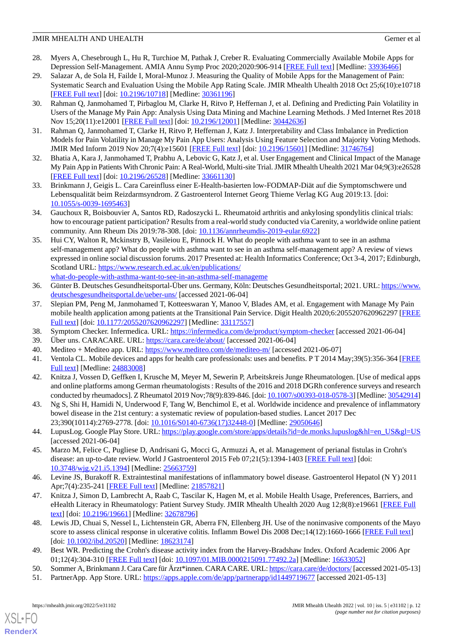- <span id="page-11-0"></span>28. Myers A, Chesebrough L, Hu R, Turchioe M, Pathak J, Creber R. Evaluating Commercially Available Mobile Apps for Depression Self-Management. AMIA Annu Symp Proc 2020;2020:906-914 [[FREE Full text](http://europepmc.org/abstract/MED/33936466)] [Medline: [33936466](http://www.ncbi.nlm.nih.gov/entrez/query.fcgi?cmd=Retrieve&db=PubMed&list_uids=33936466&dopt=Abstract)]
- <span id="page-11-1"></span>29. Salazar A, de Sola H, Failde I, Moral-Munoz J. Measuring the Quality of Mobile Apps for the Management of Pain: Systematic Search and Evaluation Using the Mobile App Rating Scale. JMIR Mhealth Uhealth 2018 Oct 25;6(10):e10718 [[FREE Full text](https://mhealth.jmir.org/2018/10/e10718/)] [doi: [10.2196/10718\]](http://dx.doi.org/10.2196/10718) [Medline: [30361196\]](http://www.ncbi.nlm.nih.gov/entrez/query.fcgi?cmd=Retrieve&db=PubMed&list_uids=30361196&dopt=Abstract)
- <span id="page-11-2"></span>30. Rahman Q, Janmohamed T, Pirbaglou M, Clarke H, Ritvo P, Heffernan J, et al. Defining and Predicting Pain Volatility in Users of the Manage My Pain App: Analysis Using Data Mining and Machine Learning Methods. J Med Internet Res 2018 Nov 15;20(11):e12001 [[FREE Full text](https://www.jmir.org/2018/11/e12001/)] [doi: [10.2196/12001\]](http://dx.doi.org/10.2196/12001) [Medline: [30442636](http://www.ncbi.nlm.nih.gov/entrez/query.fcgi?cmd=Retrieve&db=PubMed&list_uids=30442636&dopt=Abstract)]
- <span id="page-11-3"></span>31. Rahman Q, Janmohamed T, Clarke H, Ritvo P, Heffernan J, Katz J. Interpretability and Class Imbalance in Prediction Models for Pain Volatility in Manage My Pain App Users: Analysis Using Feature Selection and Majority Voting Methods. JMIR Med Inform 2019 Nov 20;7(4):e15601 [\[FREE Full text\]](https://medinform.jmir.org/2019/4/e15601/) [doi: [10.2196/15601](http://dx.doi.org/10.2196/15601)] [Medline: [31746764](http://www.ncbi.nlm.nih.gov/entrez/query.fcgi?cmd=Retrieve&db=PubMed&list_uids=31746764&dopt=Abstract)]
- <span id="page-11-4"></span>32. Bhatia A, Kara J, Janmohamed T, Prabhu A, Lebovic G, Katz J, et al. User Engagement and Clinical Impact of the Manage My Pain App in Patients With Chronic Pain: A Real-World, Multi-site Trial. JMIR Mhealth Uhealth 2021 Mar 04;9(3):e26528 [[FREE Full text](https://mhealth.jmir.org/2021/3/e26528/)] [doi: [10.2196/26528\]](http://dx.doi.org/10.2196/26528) [Medline: [33661130\]](http://www.ncbi.nlm.nih.gov/entrez/query.fcgi?cmd=Retrieve&db=PubMed&list_uids=33661130&dopt=Abstract)
- <span id="page-11-5"></span>33. Brinkmann J, Geigis L. Cara Careinfluss einer E-Health-basierten low-FODMAP-Diät auf die Symptomschwere und Lebensqualität beim Reizdarmsyndrom. Z Gastroenterol Internet Georg Thieme Verlag KG Aug 2019:13. [doi: [10.1055/s-0039-1695463](http://dx.doi.org/10.1055/s-0039-1695463)]
- <span id="page-11-6"></span>34. Gauchoux R, Boisbouvier A, Santos RD, Radoszycki L. Rheumatoid arthritis and ankylosing spondylitis clinical trials: how to encourage patient participation? Results from a real-world study conducted via Carenity, a worldwide online patient community. Ann Rheum Dis 2019:78-308. [doi: [10.1136/annrheumdis-2019-eular.6922\]](http://dx.doi.org/10.1136/annrheumdis-2019-eular.6922)
- <span id="page-11-7"></span>35. Hui CY, Walton R, Mckinstry B, Vasileiou E, Pinnock H. What do people with asthma want to see in an asthma self-management app? What do people with asthma want to see in an asthma self-management app? A review of views expressed in online social discussion forums. 2017 Presented at: Health Informatics Conference; Oct 3-4, 2017; Edinburgh, Scotland URL: [https://www.research.ed.ac.uk/en/publications/](https://www.research.ed.ac.uk/en/publications/what-do-people-with-asthma-want-to-see-in-an-asthma-self-manageme) [what-do-people-with-asthma-want-to-see-in-an-asthma-self-manageme](https://www.research.ed.ac.uk/en/publications/what-do-people-with-asthma-want-to-see-in-an-asthma-self-manageme)
- <span id="page-11-8"></span>36. Günter B. Deutsches Gesundheitsportal-Über uns. Germany, Köln: Deutsches Gesundheitsportal; 2021. URL: [https://www.](https://www.deutschesgesundheitsportal.de/ueber-uns/) [deutschesgesundheitsportal.de/ueber-uns/](https://www.deutschesgesundheitsportal.de/ueber-uns/) [accessed 2021-06-04]
- <span id="page-11-10"></span><span id="page-11-9"></span>37. Slepian PM, Peng M, Janmohamed T, Kotteeswaran Y, Manoo V, Blades AM, et al. Engagement with Manage My Pain mobile health application among patients at the Transitional Pain Service. Digit Health 2020;6:2055207620962297 [\[FREE](https://journals.sagepub.com/doi/10.1177/2055207620962297?url_ver=Z39.88-2003&rfr_id=ori:rid:crossref.org&rfr_dat=cr_pub%3dpubmed) [Full text\]](https://journals.sagepub.com/doi/10.1177/2055207620962297?url_ver=Z39.88-2003&rfr_id=ori:rid:crossref.org&rfr_dat=cr_pub%3dpubmed) [doi: [10.1177/2055207620962297](http://dx.doi.org/10.1177/2055207620962297)] [Medline: [33117557](http://www.ncbi.nlm.nih.gov/entrez/query.fcgi?cmd=Retrieve&db=PubMed&list_uids=33117557&dopt=Abstract)]
- <span id="page-11-11"></span>38. Symptom Checker. Infermedica. URL:<https://infermedica.com/de/product/symptom-checker> [accessed 2021-06-04]
- <span id="page-11-12"></span>39. Über uns. CARACARE. URL:<https://cara.care/de/about/> [accessed 2021-06-04]
- 40. Mediteo + Mediteo app. URL:<https://www.mediteo.com/de/mediteo-m/> [accessed 2021-06-07]
- <span id="page-11-13"></span>41. Ventola CL. Mobile devices and apps for health care professionals: uses and benefits. P T 2014 May;39(5):356-364 [\[FREE](http://europepmc.org/abstract/MED/24883008) [Full text\]](http://europepmc.org/abstract/MED/24883008) [Medline: [24883008\]](http://www.ncbi.nlm.nih.gov/entrez/query.fcgi?cmd=Retrieve&db=PubMed&list_uids=24883008&dopt=Abstract)
- <span id="page-11-14"></span>42. Knitza J, Vossen D, Geffken I, Krusche M, Meyer M, Sewerin P, Arbeitskreis Junge Rheumatologen. [Use of medical apps and online platforms among German rheumatologists : Results of the 2016 and 2018 DGRh conference surveys and research conducted by rheumadocs]. Z Rheumatol 2019 Nov;78(9):839-846. [doi: [10.1007/s00393-018-0578-3](http://dx.doi.org/10.1007/s00393-018-0578-3)] [Medline: [30542914](http://www.ncbi.nlm.nih.gov/entrez/query.fcgi?cmd=Retrieve&db=PubMed&list_uids=30542914&dopt=Abstract)]
- <span id="page-11-15"></span>43. Ng S, Shi H, Hamidi N, Underwood F, Tang W, Benchimol E, et al. Worldwide incidence and prevalence of inflammatory bowel disease in the 21st century: a systematic review of population-based studies. Lancet 2017 Dec 23;390(10114):2769-2778. [doi: [10.1016/S0140-6736\(17\)32448-0\]](http://dx.doi.org/10.1016/S0140-6736(17)32448-0) [Medline: [29050646](http://www.ncbi.nlm.nih.gov/entrez/query.fcgi?cmd=Retrieve&db=PubMed&list_uids=29050646&dopt=Abstract)]
- <span id="page-11-16"></span>44. LupusLog. Google Play Store. URL: [https://play.google.com/store/apps/details?id=de.monks.lupuslog&hl=en\\_US&gl=US](https://play.google.com/store/apps/details?id=de.monks.lupuslog&hl=en_US&gl=US) [accessed 2021-06-04]
- <span id="page-11-17"></span>45. Marzo M, Felice C, Pugliese D, Andrisani G, Mocci G, Armuzzi A, et al. Management of perianal fistulas in Crohn's disease: an up-to-date review. World J Gastroenterol 2015 Feb 07;21(5):1394-1403 [\[FREE Full text\]](https://www.wjgnet.com/1007-9327/full/v21/i5/1394.htm) [doi: [10.3748/wjg.v21.i5.1394](http://dx.doi.org/10.3748/wjg.v21.i5.1394)] [Medline: [25663759\]](http://www.ncbi.nlm.nih.gov/entrez/query.fcgi?cmd=Retrieve&db=PubMed&list_uids=25663759&dopt=Abstract)
- <span id="page-11-18"></span>46. Levine JS, Burakoff R. Extraintestinal manifestations of inflammatory bowel disease. Gastroenterol Hepatol (N Y) 2011 Apr;7(4):235-241 [\[FREE Full text\]](http://europepmc.org/abstract/MED/21857821) [Medline: [21857821\]](http://www.ncbi.nlm.nih.gov/entrez/query.fcgi?cmd=Retrieve&db=PubMed&list_uids=21857821&dopt=Abstract)
- <span id="page-11-19"></span>47. Knitza J, Simon D, Lambrecht A, Raab C, Tascilar K, Hagen M, et al. Mobile Health Usage, Preferences, Barriers, and eHealth Literacy in Rheumatology: Patient Survey Study. JMIR Mhealth Uhealth 2020 Aug 12;8(8):e19661 [[FREE Full](https://mhealth.jmir.org/2020/8/e19661/) [text](https://mhealth.jmir.org/2020/8/e19661/)] [doi: [10.2196/19661\]](http://dx.doi.org/10.2196/19661) [Medline: [32678796\]](http://www.ncbi.nlm.nih.gov/entrez/query.fcgi?cmd=Retrieve&db=PubMed&list_uids=32678796&dopt=Abstract)
- <span id="page-11-21"></span><span id="page-11-20"></span>48. Lewis JD, Chuai S, Nessel L, Lichtenstein GR, Aberra FN, Ellenberg JH. Use of the noninvasive components of the Mayo score to assess clinical response in ulcerative colitis. Inflamm Bowel Dis 2008 Dec;14(12):1660-1666 [[FREE Full text](http://europepmc.org/abstract/MED/18623174)] [doi: [10.1002/ibd.20520\]](http://dx.doi.org/10.1002/ibd.20520) [Medline: [18623174](http://www.ncbi.nlm.nih.gov/entrez/query.fcgi?cmd=Retrieve&db=PubMed&list_uids=18623174&dopt=Abstract)]
- 49. Best WR. Predicting the Crohn's disease activity index from the Harvey-Bradshaw Index. Oxford Academic 2006 Apr 01;12(4):304-310 [[FREE Full text](https://academic.oup.com/ibdjournal/article/12/4/304/4682686)] [doi: [10.1097/01.MIB.0000215091.77492.2a](http://dx.doi.org/10.1097/01.MIB.0000215091.77492.2a)] [Medline: [16633052\]](http://www.ncbi.nlm.nih.gov/entrez/query.fcgi?cmd=Retrieve&db=PubMed&list_uids=16633052&dopt=Abstract)
- 50. Sommer A, Brinkmann J. Cara Care für Ärzt\*innen. CARA CARE. URL:<https://cara.care/de/doctors/> [accessed 2021-05-13]
- 51. PartnerApp. App Store. URL: <https://apps.apple.com/de/app/partnerapp/id1449719677> [accessed 2021-05-13]